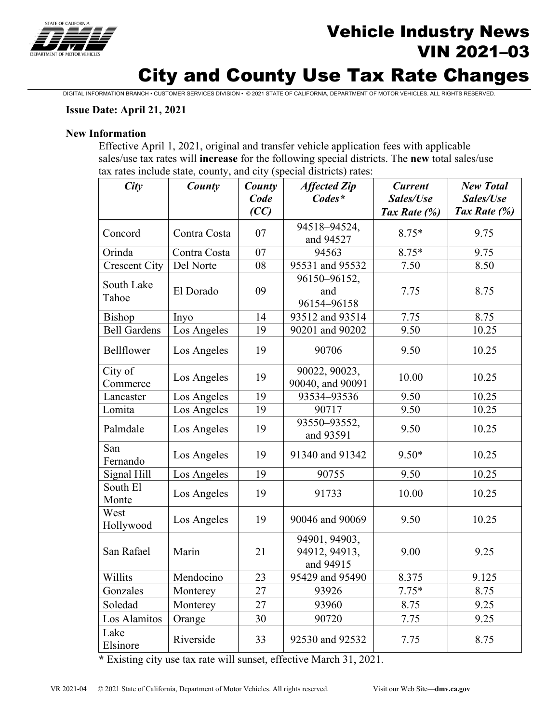

## Vehicle Industry News VIN 2021–03

# City and County Use Tax Rate Changes

DIGITAL INFORMATION BRANCH • CUSTOMER SERVICES DIVISION • © 2021 STATE OF CALIFORNIA, DEPARTMENT OF MOTOR VEHICLES. ALL RIGHTS RESERVED.

#### **Issue Date: April 21, 2021**

#### **New Information**

Effective April 1, 2021, original and transfer vehicle application fees with applicable sales/use tax rates will **increase** for the following special districts. The **new** total sales/use tax rates include state, county, and city (special districts) rates:

| City                 | County                             | County<br>Code<br>(CC) | <b>Affected Zip</b><br>$Codes^*$            | <b>Current</b><br>Sales/Use<br>Tax Rate (%) | <b>New Total</b><br>Sales/Use<br>Tax Rate (%) |
|----------------------|------------------------------------|------------------------|---------------------------------------------|---------------------------------------------|-----------------------------------------------|
| Concord              | Contra Costa                       | 07                     | 94518-94524,<br>and 94527                   | $8.75*$                                     | 9.75                                          |
| Orinda               | Contra Costa                       | 07                     | 94563                                       | 8.75*                                       | 9.75                                          |
| <b>Crescent City</b> | Del Norte                          | 08                     | 95531 and 95532                             | 7.50                                        | 8.50                                          |
| South Lake<br>Tahoe  | El Dorado                          | 09                     | 96150-96152,<br>and<br>96154-96158          | 7.75                                        | 8.75                                          |
| Bishop               | Inyo                               | 14                     | 93512 and 93514                             | 7.75                                        | 8.75                                          |
| <b>Bell Gardens</b>  | Los Angeles                        | 19                     | 90201 and 90202                             | 9.50                                        | 10.25                                         |
| Bellflower           | Los Angeles                        | 19                     | 90706                                       | 9.50                                        | 10.25                                         |
| City of<br>Commerce  | Los Angeles                        | 19                     | 90022, 90023,<br>90040, and 90091           | 10.00                                       | 10.25                                         |
| Lancaster            | Los Angeles                        | 19                     | 93534-93536                                 | 9.50                                        | 10.25                                         |
| Lomita               | Los Angeles                        | 19                     | 90717                                       | 9.50                                        | 10.25                                         |
| Palmdale             | Los Angeles                        | 19                     | 93550-93552,<br>and 93591                   | 9.50                                        | 10.25                                         |
| San<br>Fernando      | Los Angeles                        | 19                     | 91340 and 91342                             | $9.50*$                                     | 10.25                                         |
| Signal Hill          | 19<br>90755<br>9.50<br>Los Angeles |                        | 10.25                                       |                                             |                                               |
| South El<br>Monte    | Los Angeles                        | 19                     | 91733                                       | 10.00                                       | 10.25                                         |
| West<br>Hollywood    | Los Angeles                        | 19                     | 90046 and 90069                             | 9.50                                        | 10.25                                         |
| San Rafael           | Marin                              | 21                     | 94901, 94903,<br>94912, 94913,<br>and 94915 | 9.00                                        | 9.25                                          |
| Willits              | Mendocino<br>23                    |                        | 95429 and 95490                             | 8.375                                       | 9.125                                         |
| Gonzales             | 27<br>Monterey                     |                        | 93926                                       | $7.75*$                                     | 8.75                                          |
| Soledad              | Monterey                           | 27                     | 93960                                       | 8.75                                        | 9.25                                          |
| Los Alamitos         | Orange                             | 30                     | 90720                                       | 7.75                                        | 9.25                                          |
| Lake<br>Elsinore     | Riverside                          | 33                     | 92530 and 92532                             | 7.75                                        | 8.75                                          |

**\*** Existing city use tax rate will sunset, effective March 31, 2021.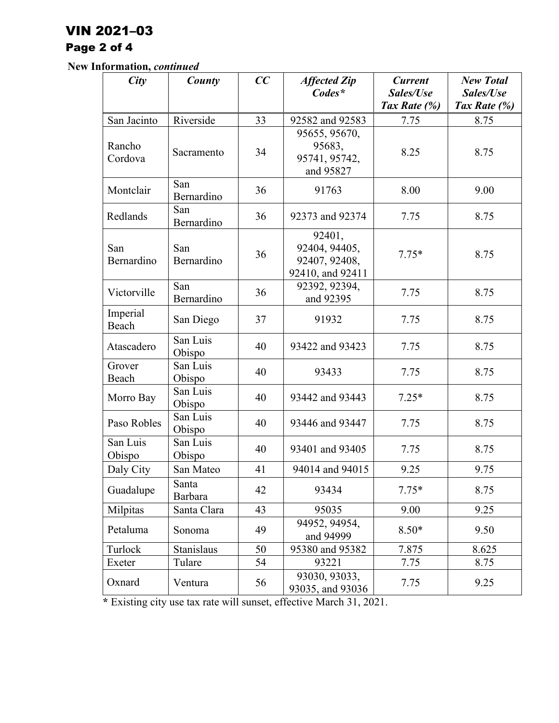### VIN 2021–03

## Page 2 of 4

**New Information,** *continued*

| City               | County             | CC | <b>Affected Zip</b>                                          | <b>Current</b> | <b>New Total</b> |
|--------------------|--------------------|----|--------------------------------------------------------------|----------------|------------------|
|                    |                    |    | $Codes*$                                                     | Sales/Use      | Sales/Use        |
|                    |                    |    |                                                              | Tax Rate (%)   | Tax Rate (%)     |
| San Jacinto        | Riverside          | 33 | 92582 and 92583                                              | 7.75           | 8.75             |
| Rancho<br>Cordova  | Sacramento         | 34 | 95655, 95670,<br>95683,<br>95741, 95742,<br>and 95827        | 8.25           | 8.75             |
| Montclair          | San<br>Bernardino  | 36 | 91763                                                        | 8.00           | 9.00             |
| Redlands           | San<br>Bernardino  | 36 | 92373 and 92374                                              | 7.75           | 8.75             |
| San<br>Bernardino  | San<br>Bernardino  | 36 | 92401,<br>92404, 94405,<br>92407, 92408,<br>92410, and 92411 | $7.75*$        | 8.75             |
| Victorville        | San<br>Bernardino  | 36 | 92392, 92394,<br>and 92395                                   | 7.75           | 8.75             |
| Imperial<br>Beach  | San Diego          | 37 | 91932                                                        | 7.75           | 8.75             |
| Atascadero         | San Luis<br>Obispo | 40 | 93422 and 93423                                              | 7.75           | 8.75             |
| Grover<br>Beach    | San Luis<br>Obispo | 40 | 93433                                                        | 7.75           | 8.75             |
| Morro Bay          | San Luis<br>Obispo | 40 | 93442 and 93443                                              | $7.25*$        | 8.75             |
| Paso Robles        | San Luis<br>Obispo | 40 | 93446 and 93447                                              | 7.75           | 8.75             |
| San Luis<br>Obispo | San Luis<br>Obispo | 40 | 93401 and 93405                                              | 7.75           | 8.75             |
| Daly City          | San Mateo          | 41 | 94014 and 94015                                              | 9.25           | 9.75             |
| Guadalupe          | Santa<br>Barbara   | 42 | 93434                                                        | $7.75*$        | 8.75             |
| Milpitas           | Santa Clara        | 43 | 95035                                                        | 9.00           | 9.25             |
| Petaluma           | Sonoma             | 49 | 94952, 94954,<br>and 94999                                   | $8.50*$        | 9.50             |
| Turlock            | <b>Stanislaus</b>  | 50 | 95380 and 95382                                              | 7.875          | 8.625            |
| Exeter             | Tulare             | 54 | 93221                                                        | 7.75           | 8.75             |
| Oxnard             | Ventura            | 56 | 93030, 93033,<br>93035, and 93036                            | 7.75           | 9.25             |

**\*** Existing city use tax rate will sunset, effective March 31, 2021.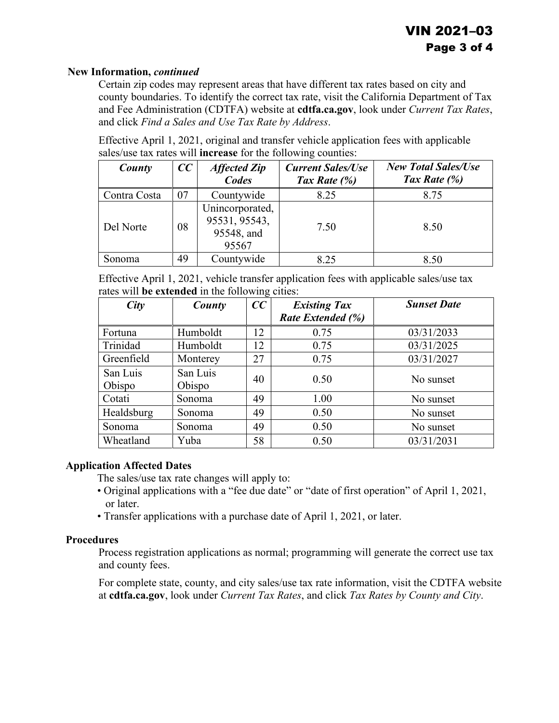#### **New Information,** *continued*

Certain zip codes may represent areas that have different tax rates based on city and county boundaries. To identify the correct tax rate, visit the California Department of Tax and Fee Administration (CDTFA) website at **cdtfa.ca.gov**, look under *Current Tax Rates*, and click *Find a Sales and Use Tax Rate by Address*.

Effective April 1, 2021, original and transfer vehicle application fees with applicable sales/use tax rates will **increase** for the following counties:

| County       | CC | <b>Affected Zip</b><br>Codes                            | <b>Current Sales/Use</b><br>Tax Rate $(\%)$ | <b>New Total Sales/Use</b><br>Tax Rate $(\%)$ |
|--------------|----|---------------------------------------------------------|---------------------------------------------|-----------------------------------------------|
| Contra Costa | 07 | Countywide                                              | 8.25                                        | 8.75                                          |
| Del Norte    | 08 | Unincorporated,<br>95531, 95543,<br>95548, and<br>95567 | 7.50                                        | 8.50                                          |
| Sonoma       | 49 | Countywide                                              | 8.25                                        | 8.50                                          |

Effective April 1, 2021, vehicle transfer application fees with applicable sales/use tax rates will **be extended** in the following cities:

| City       | County   | CC | <b>Existing Tax</b> | <b>Sunset Date</b> |
|------------|----------|----|---------------------|--------------------|
|            |          |    | Rate Extended (%)   |                    |
| Fortuna    | Humboldt | 12 | 0.75                | 03/31/2033         |
| Trinidad   | Humboldt | 12 | 0.75                | 03/31/2025         |
| Greenfield | Monterey | 27 | 0.75                | 03/31/2027         |
| San Luis   | San Luis | 40 | 0.50                | No sunset          |
| Obispo     | Obispo   |    |                     |                    |
| Cotati     | Sonoma   | 49 | 1.00                | No sunset          |
| Healdsburg | Sonoma   | 49 | 0.50                | No sunset          |
| Sonoma     | Sonoma   | 49 | 0.50                | No sunset          |
| Wheatland  | Yuba     | 58 | 0.50                | 03/31/2031         |

#### **Application Affected Dates**

The sales/use tax rate changes will apply to:

- Original applications with a "fee due date" or "date of first operation" of April 1, 2021, or later.
- Transfer applications with a purchase date of April 1, 2021, or later.

#### **Procedures**

Process registration applications as normal; programming will generate the correct use tax and county fees.

For complete state, county, and city sales/use tax rate information, visit the CDTFA website at **cdtfa.ca.gov**, look under *Current Tax Rates*, and click *Tax Rates by County and City*.